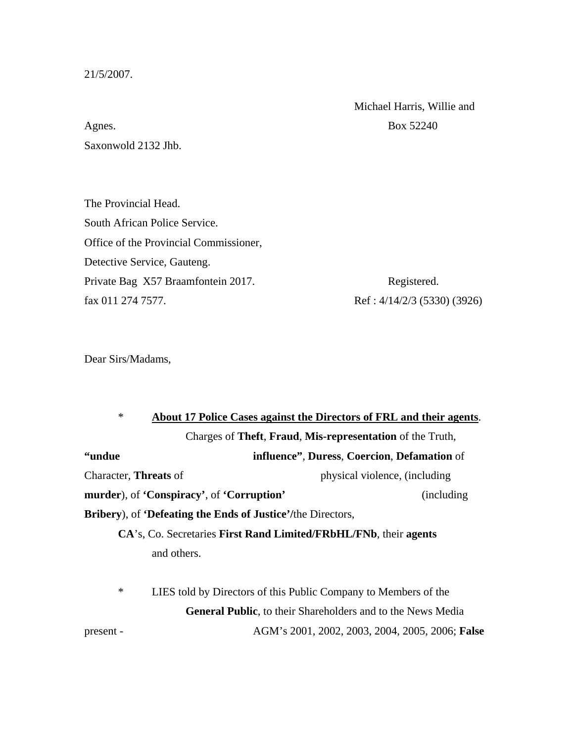21/5/2007.

Michael Harris, Willie and

Agnes. Box 52240 Saxonwold 2132 Jhb.

The Provincial Head. South African Police Service. Office of the Provincial Commissioner, Detective Service, Gauteng. Private Bag X57 Braamfontein 2017. Registered. fax 011 274 7577. Ref: 4/14/2/3 (5330) (3926)

Dear Sirs/Madams,

| $\ast$                                                                     |                                                                 | About 17 Police Cases against the Directors of FRL and their agents.       |  |
|----------------------------------------------------------------------------|-----------------------------------------------------------------|----------------------------------------------------------------------------|--|
|                                                                            |                                                                 | Charges of Theft, Fraud, Mis-representation of the Truth,                  |  |
| <b>"undue</b>                                                              |                                                                 | <b>influence"</b> , <b>Duress</b> , <b>Coercion</b> , <b>Defamation</b> of |  |
| Character, <b>Threats</b> of                                               |                                                                 | physical violence, (including                                              |  |
|                                                                            | murder), of 'Conspiracy', of 'Corruption'                       | <i>(including)</i>                                                         |  |
| <b>Bribery</b> ), of <b>Defeating the Ends of Justice</b> '/the Directors, |                                                                 |                                                                            |  |
| CA's, Co. Secretaries First Rand Limited/FRbHL/FNb, their agents           |                                                                 |                                                                            |  |
|                                                                            | and others.                                                     |                                                                            |  |
|                                                                            |                                                                 |                                                                            |  |
| $\ast$                                                                     | LIES told by Directors of this Public Company to Members of the |                                                                            |  |
|                                                                            |                                                                 | <b>General Public, to their Shareholders and to the News Media</b>         |  |

present - AGM's 2001, 2002, 2003, 2004, 2005, 2006; **False**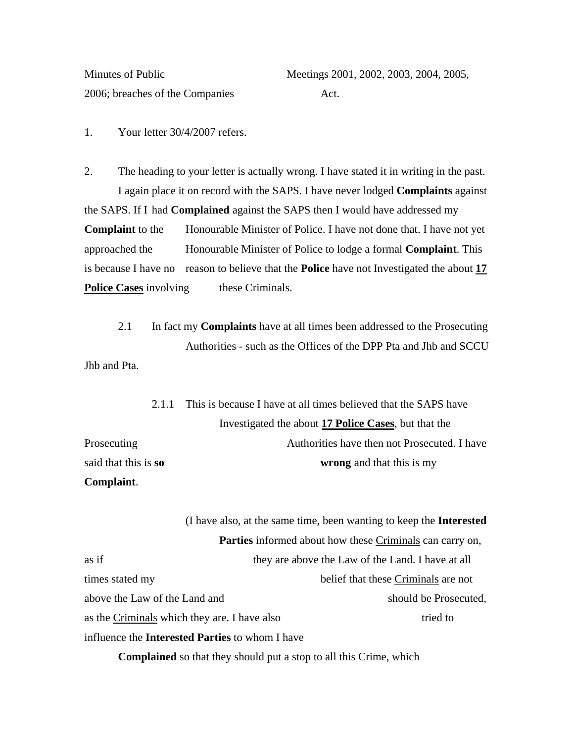2006; breaches of the Companies Act.

Minutes of Public Meetings 2001, 2002, 2003, 2004, 2005,

1. Your letter 30/4/2007 refers.

2. The heading to your letter is actually wrong. I have stated it in writing in the past. I again place it on record with the SAPS. I have never lodged **Complaints** against the SAPS. If I had **Complained** against the SAPS then I would have addressed my **Complaint** to the Honourable Minister of Police. I have not done that. I have not yet approached the Honourable Minister of Police to lodge a formal **Complaint**. This is because I have no reason to believe that the **Police** have not Investigated the about **17 Police Cases** involving these Criminals.

 2.1 In fact my **Complaints** have at all times been addressed to the Prosecuting Authorities - such as the Offices of the DPP Pta and Jhb and SCCU Jhb and Pta.

 2.1.1 This is because I have at all times believed that the SAPS have Investigated the about **17 Police Cases**, but that the Prosecuting Authorities have then not Prosecuted. I have said that this is **so wrong** and that this is my

**Complaint**.

 (I have also, at the same time, been wanting to keep the **Interested Parties** informed about how these Criminals can carry on, as if they are above the Law of the Land. I have at all times stated my belief that these Criminals are not above the Law of the Land and should be Prosecuted, as the Criminals which they are. I have also tried to tried to influence the **Interested Parties** to whom I have

**Complained** so that they should put a stop to all this Crime, which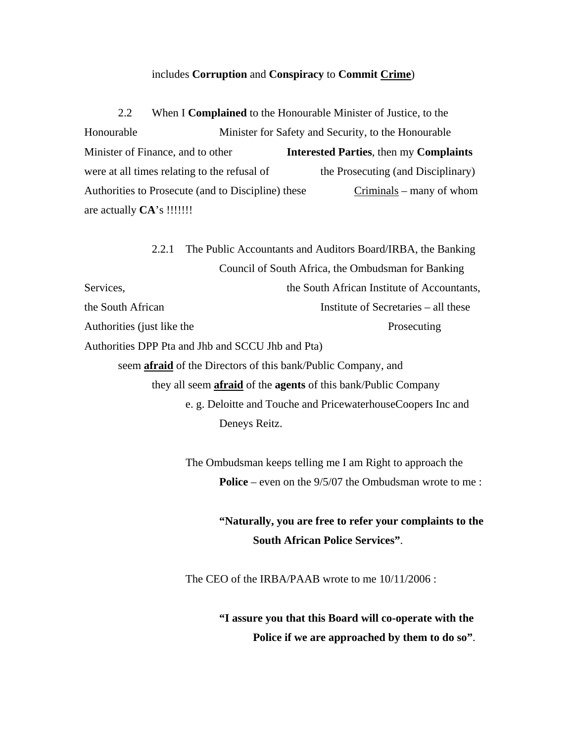## includes **Corruption** and **Conspiracy** to **Commit Crime**)

 2.2 When I **Complained** to the Honourable Minister of Justice, to the Honourable Minister for Safety and Security, to the Honourable Minister of Finance, and to other **Interested Parties**, then my **Complaints** were at all times relating to the refusal of the Prosecuting (and Disciplinary) Authorities to Prosecute (and to Discipline) these Criminals – many of whom are actually **CA**'s !!!!!!!

 2.2.1 The Public Accountants and Auditors Board/IRBA, the Banking Council of South Africa, the Ombudsman for Banking Services, the South African Institute of Accountants, the South African **Institute of Secretaries** – all these Authorities (just like the Prosecuting Authorities DPP Pta and Jhb and SCCU Jhb and Pta) seem **afraid** of the Directors of this bank/Public Company, and they all seem **afraid** of the **agents** of this bank/Public Company e. g. Deloitte and Touche and PricewaterhouseCoopers Inc and

Deneys Reitz.

 The Ombudsman keeps telling me I am Right to approach the **Police** – even on the 9/5/07 the Ombudsman wrote to me :

> **"Naturally, you are free to refer your complaints to the South African Police Services"**.

The CEO of the IRBA/PAAB wrote to me 10/11/2006 :

 **"I assure you that this Board will co-operate with the Police if we are approached by them to do so"**.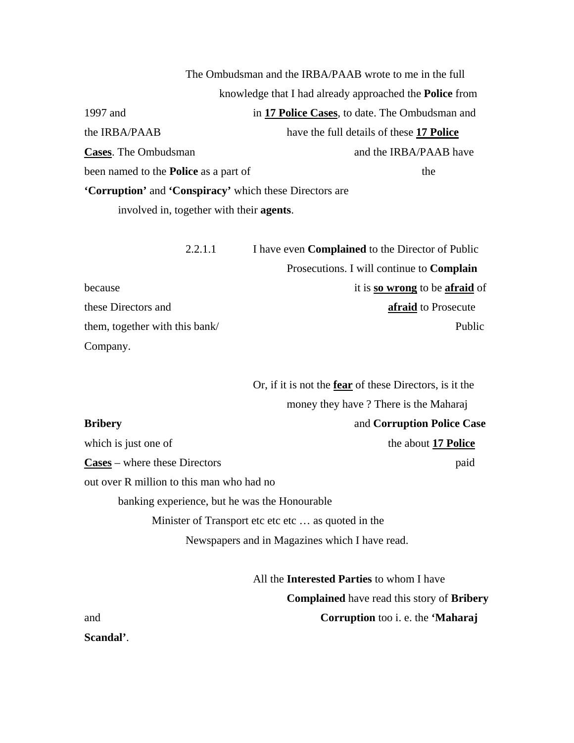The Ombudsman and the IRBA/PAAB wrote to me in the full knowledge that I had already approached the **Police** from 1997 and in **17 Police Cases**, to date. The Ombudsman and the IRBA/PAAB have the full details of these **17 Police Cases**. The Ombudsman and the IRBA/PAAB have been named to the **Police** as a part of the **'Corruption'** and **'Conspiracy'** which these Directors are involved in, together with their **agents**.

| 2.2.1.1                        | I have even <b>Complained</b> to the Director of Public |  |
|--------------------------------|---------------------------------------------------------|--|
|                                | Prosecutions. I will continue to <b>Complain</b>        |  |
| because                        | it is so wrong to be afraid of                          |  |
| these Directors and            | afraid to Prosecute                                     |  |
| them, together with this bank/ | Public                                                  |  |
| Company.                       |                                                         |  |

 Or, if it is not the **fear** of these Directors, is it the money they have ? There is the Maharaj **Bribery** and **Corruption Police Case** which is just one of the about **17 Police the about 17 Police** 

**Cases** – where these Directors paid

out over R million to this man who had no banking experience, but he was the Honourable Minister of Transport etc etc etc ... as quoted in the

Newspapers and in Magazines which I have read.

 All the **Interested Parties** to whom I have **Complained** have read this story of **Bribery** and **Corruption** too i. e. the **'Maharaj** 

**Scandal'**.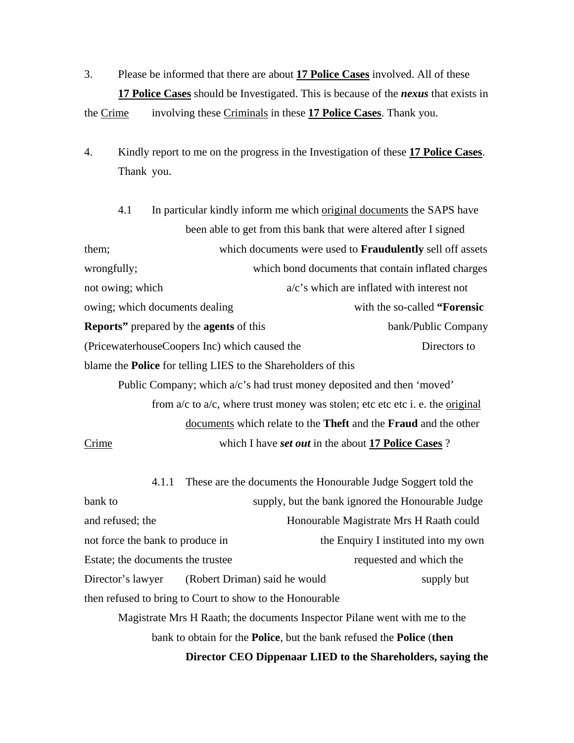3. Please be informed that there are about **17 Police Cases** involved. All of these **17 Police Cases** should be Investigated. This is because of the *nexus* that exists in

the Crime involving these Criminals in these **17 Police Cases**. Thank you.

4. Kindly report to me on the progress in the Investigation of these **17 Police Cases**. Thank you.

4.1 In particular kindly inform me which original documents the SAPS have been able to get from this bank that were altered after I signed them; which documents were used to **Fraudulently** sell off assets wrongfully; which bond documents that contain inflated charges not owing; which  $a/c's$  which are inflated with interest not owing; which documents dealing with the so-called **"Forensic Reports**" prepared by the **agents** of this bank/Public Company (PricewaterhouseCoopers Inc) which caused the Directors to blame the **Police** for telling LIES to the Shareholders of this Public Company; which  $a/c$ 's had trust money deposited and then 'moved' from  $a/c$  to  $a/c$ , where trust money was stolen; etc etc etc i. e. the original

 documents which relate to the **Theft** and the **Fraud** and the other Crime which I have *set out* in the about **17 Police Cases** ?

 4.1.1 These are the documents the Honourable Judge Soggert told the bank to supply, but the bank ignored the Honourable Judge and refused; the Honourable Magistrate Mrs H Raath could not force the bank to produce in the Enquiry I instituted into my own Estate; the documents the trustee requested and which the Director's lawyer (Robert Driman) said he would supply but then refused to bring to Court to show to the Honourable Magistrate Mrs H Raath; the documents Inspector Pilane went with me to the

bank to obtain for the **Police**, but the bank refused the **Police** (**then** 

 **Director CEO Dippenaar LIED to the Shareholders, saying the**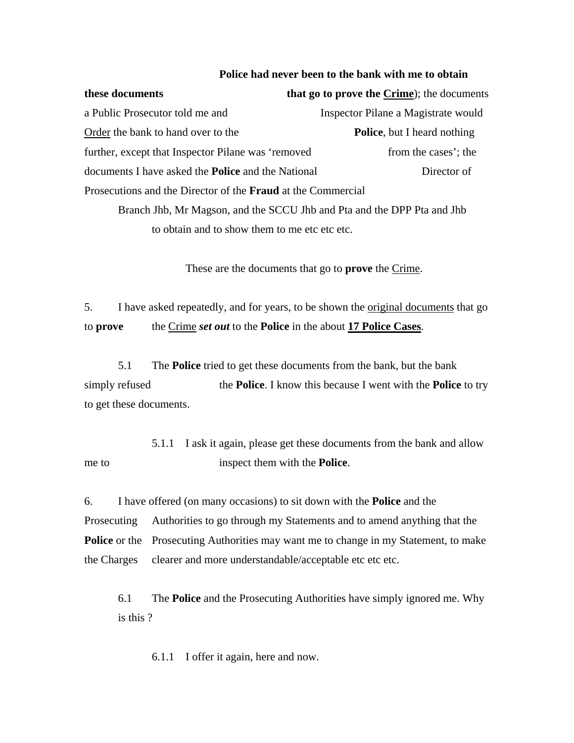## **Police had never been to the bank with me to obtain**

**these documents** that **go to prove the Crime**); the documents a Public Prosecutor told me and Inspector Pilane a Magistrate would Order the bank to hand over to the **Police**, but I heard nothing further, except that Inspector Pilane was 'removed from the cases'; the documents I have asked the **Police** and the National Director of Prosecutions and the Director of the **Fraud** at the Commercial

 Branch Jhb, Mr Magson, and the SCCU Jhb and Pta and the DPP Pta and Jhb to obtain and to show them to me etc etc etc.

These are the documents that go to **prove** the Crime.

5. I have asked repeatedly, and for years, to be shown the original documents that go to **prove** the Crime *set out* to the **Police** in the about **17 Police Cases**.

 5.1 The **Police** tried to get these documents from the bank, but the bank simply refused the **Police**. I know this because I went with the **Police** to try to get these documents.

 5.1.1 I ask it again, please get these documents from the bank and allow me to inspect them with the **Police**.

6. I have offered (on many occasions) to sit down with the **Police** and the Prosecuting Authorities to go through my Statements and to amend anything that the **Police** or the Prosecuting Authorities may want me to change in my Statement, to make the Charges clearer and more understandable/acceptable etc etc etc.

 6.1 The **Police** and the Prosecuting Authorities have simply ignored me. Why is this ?

6.1.1 I offer it again, here and now.